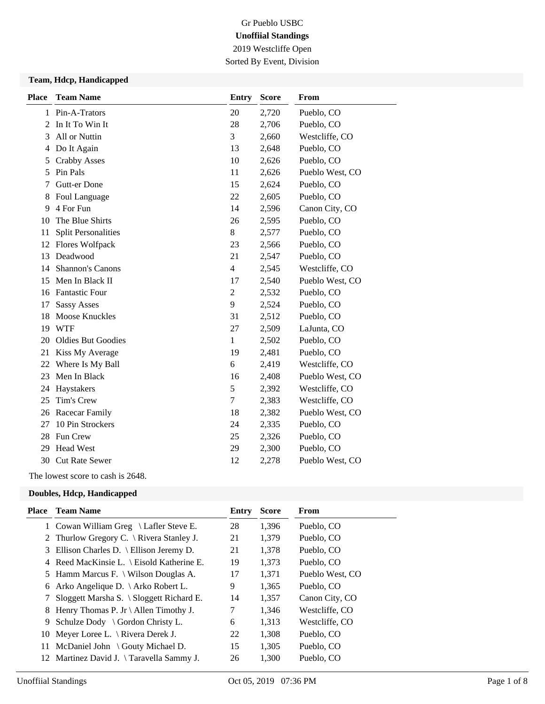2019 Westcliffe Open Sorted By Event, Division

### **Team, Hdcp, Handicapped**

| <b>Place</b> | <b>Team Name</b>           | <b>Entry</b>   | <b>Score</b> | From            |
|--------------|----------------------------|----------------|--------------|-----------------|
| 1            | Pin-A-Trators              | 20             | 2,720        | Pueblo, CO      |
| 2            | In It To Win It            | 28             | 2,706        | Pueblo, CO      |
| 3            | All or Nuttin              | 3              | 2,660        | Westcliffe, CO  |
| 4            | Do It Again                | 13             | 2,648        | Pueblo, CO      |
| 5            | <b>Crabby Asses</b>        | 10             | 2,626        | Pueblo, CO      |
| 5            | Pin Pals                   | 11             | 2,626        | Pueblo West, CO |
| 7            | Gutt-er Done               | 15             | 2,624        | Pueblo, CO      |
| 8            | Foul Language              | 22             | 2,605        | Pueblo, CO      |
| 9            | 4 For Fun                  | 14             | 2,596        | Canon City, CO  |
| 10           | The Blue Shirts            | 26             | 2,595        | Pueblo, CO      |
| 11           | <b>Split Personalities</b> | $\,$ 8 $\,$    | 2,577        | Pueblo, CO      |
| 12           | Flores Wolfpack            | 23             | 2,566        | Pueblo, CO      |
| 13           | Deadwood                   | 21             | 2,547        | Pueblo, CO      |
| 14           | <b>Shannon's Canons</b>    | $\overline{4}$ | 2,545        | Westcliffe, CO  |
| 15           | Men In Black II            | 17             | 2,540        | Pueblo West, CO |
| 16           | <b>Fantastic Four</b>      | $\overline{2}$ | 2,532        | Pueblo, CO      |
| 17           | <b>Sassy Asses</b>         | 9              | 2,524        | Pueblo, CO      |
| 18           | <b>Moose Knuckles</b>      | 31             | 2,512        | Pueblo, CO      |
| 19           | <b>WTF</b>                 | 27             | 2,509        | LaJunta, CO     |
| 20           | <b>Oldies But Goodies</b>  | 1              | 2,502        | Pueblo, CO      |
| 21           | Kiss My Average            | 19             | 2,481        | Pueblo, CO      |
| 22           | Where Is My Ball           | 6              | 2,419        | Westcliffe, CO  |
| 23           | Men In Black               | 16             | 2,408        | Pueblo West, CO |
| 24           | Haystakers                 | 5              | 2,392        | Westcliffe, CO  |
| 25           | Tim's Crew                 | $\tau$         | 2,383        | Westcliffe, CO  |
| 26           | Racecar Family             | 18             | 2,382        | Pueblo West, CO |
| 27           | 10 Pin Strockers           | 24             | 2,335        | Pueblo, CO      |
| 28           | Fun Crew                   | 25             | 2,326        | Pueblo, CO      |
| 29           | <b>Head West</b>           | 29             | 2,300        | Pueblo, CO      |
| 30           | <b>Cut Rate Sewer</b>      | 12             | 2,278        | Pueblo West, CO |
|              |                            |                |              |                 |

The lowest score to cash is 2648.

### **Doubles, Hdcp, Handicapped**

| Place | <b>Team Name</b>                                   | Entry | <b>Score</b> | From            |
|-------|----------------------------------------------------|-------|--------------|-----------------|
|       | 1 Cowan William Greg \ Lafler Steve E.             | 28    | 1,396        | Pueblo, CO      |
|       | 2 Thurlow Gregory C. $\setminus$ Rivera Stanley J. | 21    | 1,379        | Pueblo, CO      |
|       | 3 Ellison Charles D. \ Ellison Jeremy D.           | 21    | 1,378        | Pueblo, CO      |
|       | 4 Reed MacKinsie L. \ Eisold Katherine E.          | 19    | 1,373        | Pueblo, CO      |
|       | 5 Hamm Marcus F. \ Wilson Douglas A.               | 17    | 1,371        | Pueblo West, CO |
|       | 6 Arko Angelique D. $\langle$ Arko Robert L.       | 9     | 1,365        | Pueblo, CO      |
|       | 7 Sloggett Marsha S. \ Sloggett Richard E.         | 14    | 1,357        | Canon City, CO  |
|       | 8 Henry Thomas P. Jr \ Allen Timothy J.            | 7     | 1,346        | Westcliffe, CO  |
|       | 9 Schulze Dody $\setminus$ Gordon Christy L.       | 6     | 1,313        | Westcliffe, CO  |
| 10    | Meyer Loree L. $\backslash$ Rivera Derek J.        | 22    | 1,308        | Pueblo, CO      |
| 11    | McDaniel John \ Gouty Michael D.                   | 15    | 1,305        | Pueblo, CO      |
|       | 12 Martinez David J. \Taravella Sammy J.           | 26    | 1,300        | Pueblo, CO      |
|       |                                                    |       |              |                 |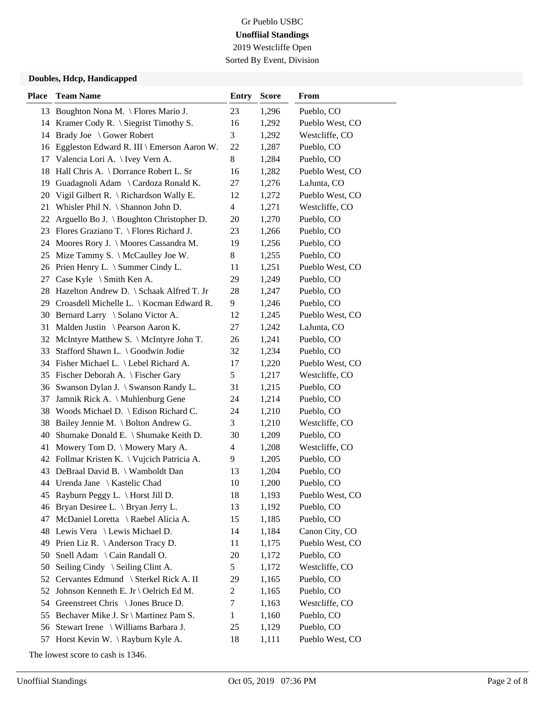Sorted By Event, Division

#### **Doubles, Hdcp, Handicapped**

| <b>Place</b> | <b>Team Name</b>                                  | <b>Entry</b>             | <b>Score</b> | <b>From</b>     |
|--------------|---------------------------------------------------|--------------------------|--------------|-----------------|
|              | 13 Boughton Nona M. \ Flores Mario J.             | 23                       | 1,296        | Pueblo, CO      |
|              | 14 Kramer Cody R. \ Siegrist Timothy S.           | 16                       | 1,292        | Pueblo West, CO |
| 14           | Brady Joe \ Gower Robert                          | 3                        | 1,292        | Westcliffe, CO  |
| 16           | Eggleston Edward R. III \ Emerson Aaron W.        | 22                       | 1,287        | Pueblo, CO      |
| 17           | Valencia Lori A. \ Ivey Vern A.                   | 8                        | 1,284        | Pueblo, CO      |
| 18           | Hall Chris A. \ Dorrance Robert L. Sr             | 16                       | 1,282        | Pueblo West, CO |
| 19           | Guadagnoli Adam \ Cardoza Ronald K.               | 27                       | 1,276        | LaJunta, CO     |
| 20           | Vigil Gilbert R. $\backslash$ Richardson Wally E. | 12                       | 1,272        | Pueblo West, CO |
| 21           | Whisler Phil N. \ Shannon John D.                 | $\overline{\mathcal{A}}$ | 1,271        | Westcliffe, CO  |
| 22           | Arguello Bo J. \ Boughton Christopher D.          | 20                       | 1,270        | Pueblo, CO      |
| 23           | Flores Graziano T. \ Flores Richard J.            | 23                       | 1,266        | Pueblo, CO      |
| 24           | Moores Rory J. \ Moores Cassandra M.              | 19                       | 1,256        | Pueblo, CO      |
|              | 25 Mize Tammy S. \ McCaulley Joe W.               | 8                        | 1,255        | Pueblo, CO      |
|              | 26 Prien Henry L. \ Summer Cindy L.               | 11                       | 1,251        | Pueblo West, CO |
| 27           | Case Kyle $\setminus$ Smith Ken A.                | 29                       | 1,249        | Pueblo, CO      |
| 28           | Hazelton Andrew D. \ Schaak Alfred T. Jr          | 28                       | 1,247        | Pueblo, CO      |
|              | 29 Croasdell Michelle L. \ Kocman Edward R.       | 9                        | 1,246        | Pueblo, CO      |
|              | 30 Bernard Larry \ Solano Victor A.               | 12                       | 1,245        | Pueblo West, CO |
| 31           | Malden Justin \ Pearson Aaron K.                  | 27                       | 1,242        | LaJunta, CO     |
|              | 32 McIntyre Matthew S. \ McIntyre John T.         | 26                       | 1,241        | Pueblo, CO      |
| 33           | Stafford Shawn L. \ Goodwin Jodie                 | 32                       | 1,234        | Pueblo, CO      |
|              | 34 Fisher Michael L. \ Lebel Richard A.           | 17                       | 1,220        | Pueblo West, CO |
|              | 35 Fischer Deborah A. \ Fischer Gary              | 5                        | 1,217        | Westcliffe, CO  |
|              | 36 Swanson Dylan J. \ Swanson Randy L.            | 31                       | 1,215        | Pueblo, CO      |
| 37           | Jamnik Rick A. \ Muhlenburg Gene                  | 24                       | 1,214        | Pueblo, CO      |
| 38           | Woods Michael D. \ Edison Richard C.              | 24                       | 1,210        | Pueblo, CO      |
| 38           | Bailey Jennie M. \ Bolton Andrew G.               | 3                        | 1,210        | Westcliffe, CO  |
| 40           | Shumake Donald E. \ Shumake Keith D.              | 30                       | 1,209        | Pueblo, CO      |
| 41           | Mowery Tom D. \ Mowery Mary A.                    | $\overline{4}$           | 1,208        | Westcliffe, CO  |
|              | 42 Follmar Kristen K.   Vujcich Patricia A.       | 9                        | 1,205        | Pueblo, CO      |
|              | 43 DeBraal David B. \ Wamboldt Dan                | 13                       | 1,204        | Pueblo, CO      |
|              | 44 Urenda Jane \ Kastelic Chad                    | 10                       | 1,200        | Pueblo, CO      |
|              | 45 Rayburn Peggy L. \ Horst Jill D.               | 18                       | 1,193        | Pueblo West, CO |
|              | 46 Bryan Desiree L. \ Bryan Jerry L.              | 13                       | 1,192        | Pueblo, CO      |
| 47           | McDaniel Loretta \ Raebel Alicia A.               | 15                       | 1,185        | Pueblo, CO      |
|              | 48 Lewis Vera \ Lewis Michael D.                  | 14                       | 1,184        | Canon City, CO  |
| 49           | Prien Liz R. $\setminus$ Anderson Tracy D.        | 11                       | 1,175        | Pueblo West, CO |
| 50           | Snell Adam \ Cain Randall O.                      | 20                       | 1,172        | Pueblo, CO      |
| 50           | Seiling Cindy \ Seiling Clint A.                  | 5                        | 1,172        | Westcliffe, CO  |
| 52           | Cervantes Edmund \ Sterkel Rick A. II             | 29                       | 1,165        | Pueblo, CO      |
| 52           | Johnson Kenneth E. Jr \ Oelrich Ed M.             | $\overline{c}$           | 1,165        | Pueblo, CO      |
| 54           | Greenstreet Chris \ Jones Bruce D.                | 7                        | 1,163        | Westcliffe, CO  |
| 55           | Bechaver Mike J. Sr \ Martinez Pam S.             | $\mathbf{1}$             | 1,160        | Pueblo, CO      |
| 56           | Stewart Irene \ Williams Barbara J.               | 25                       | 1,129        | Pueblo, CO      |
| 57           | Horst Kevin W. $\langle$ Rayburn Kyle A.          | 18                       | 1,111        | Pueblo West, CO |

The lowest score to cash is 1346.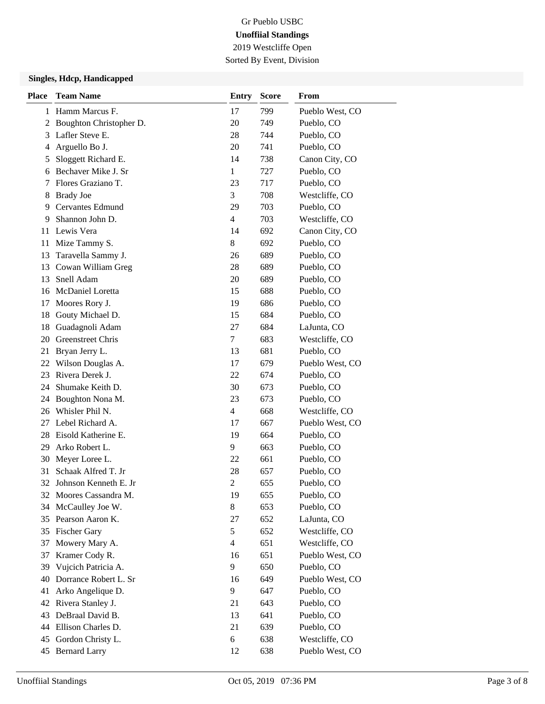2019 Westcliffe Open Sorted By Event, Division

### **Singles, Hdcp, Handicapped**

| <b>Place</b> | <b>Team Name</b>        | <b>Entry</b>   | <b>Score</b> | From            |
|--------------|-------------------------|----------------|--------------|-----------------|
| 1            | Hamm Marcus F.          | 17             | 799          | Pueblo West, CO |
| 2            | Boughton Christopher D. | 20             | 749          | Pueblo, CO      |
| 3            | Lafler Steve E.         | 28             | 744          | Pueblo, CO      |
| 4            | Arguello Bo J.          | 20             | 741          | Pueblo, CO      |
| 5            | Sloggett Richard E.     | 14             | 738          | Canon City, CO  |
| 6            | Bechaver Mike J. Sr     | 1              | 727          | Pueblo, CO      |
| 7            | Flores Graziano T.      | 23             | 717          | Pueblo, CO      |
| 8            | <b>Brady Joe</b>        | 3              | 708          | Westcliffe, CO  |
| 9            | Cervantes Edmund        | 29             | 703          | Pueblo, CO      |
| 9            | Shannon John D.         | 4              | 703          | Westcliffe, CO  |
| 11           | Lewis Vera              | 14             | 692          | Canon City, CO  |
| 11           | Mize Tammy S.           | 8              | 692          | Pueblo, CO      |
| 13           | Taravella Sammy J.      | 26             | 689          | Pueblo, CO      |
| 13           | Cowan William Greg      | 28             | 689          | Pueblo, CO      |
| 13           | Snell Adam              | 20             | 689          | Pueblo, CO      |
| 16           | McDaniel Loretta        | 15             | 688          | Pueblo, CO      |
| 17           | Moores Rory J.          | 19             | 686          | Pueblo, CO      |
| 18           | Gouty Michael D.        | 15             | 684          | Pueblo, CO      |
| 18           | Guadagnoli Adam         | 27             | 684          | LaJunta, CO     |
| 20           | Greenstreet Chris       | 7              | 683          | Westcliffe, CO  |
| 21           | Bryan Jerry L.          | 13             | 681          | Pueblo, CO      |
| 22           | Wilson Douglas A.       | 17             | 679          | Pueblo West, CO |
| 23           | Rivera Derek J.         | 22             | 674          | Pueblo, CO      |
| 24           | Shumake Keith D.        | 30             | 673          | Pueblo, CO      |
| 24           | Boughton Nona M.        | 23             | 673          | Pueblo, CO      |
| 26           | Whisler Phil N.         | 4              | 668          | Westcliffe, CO  |
| 27           | Lebel Richard A.        | 17             | 667          | Pueblo West, CO |
| 28           | Eisold Katherine E.     | 19             | 664          | Pueblo, CO      |
| 29           | Arko Robert L.          | 9              | 663          | Pueblo, CO      |
| 30           | Meyer Loree L.          | 22             | 661          | Pueblo, CO      |
| 31           | Schaak Alfred T. Jr     | 28             | 657          | Pueblo, CO      |
| 32           | Johnson Kenneth E. Jr   | $\overline{c}$ | 655          | Pueblo, CO      |
| 32           | Moores Cassandra M.     | 19             | 655          | Pueblo, CO      |
| 34           | McCaulley Joe W.        | 8              | 653          | Pueblo, CO      |
| 35           | Pearson Aaron K.        | 27             | 652          | LaJunta, CO     |
| 35           | <b>Fischer Gary</b>     | 5              | 652          | Westcliffe, CO  |
| 37           | Mowery Mary A.          | $\overline{4}$ | 651          | Westcliffe, CO  |
| 37           | Kramer Cody R.          | 16             | 651          | Pueblo West, CO |
| 39           | Vujcich Patricia A.     | 9              | 650          | Pueblo, CO      |
| 40           | Dorrance Robert L. Sr   | 16             | 649          | Pueblo West, CO |
| 41           | Arko Angelique D.       | 9              | 647          | Pueblo, CO      |
| 42           | Rivera Stanley J.       | 21             | 643          | Pueblo, CO      |
| 43           | DeBraal David B.        | 13             | 641          | Pueblo, CO      |
| 44           | Ellison Charles D.      | 21             | 639          | Pueblo, CO      |
| 45           | Gordon Christy L.       | 6              | 638          | Westcliffe, CO  |
| 45           | <b>Bernard Larry</b>    | 12             | 638          | Pueblo West, CO |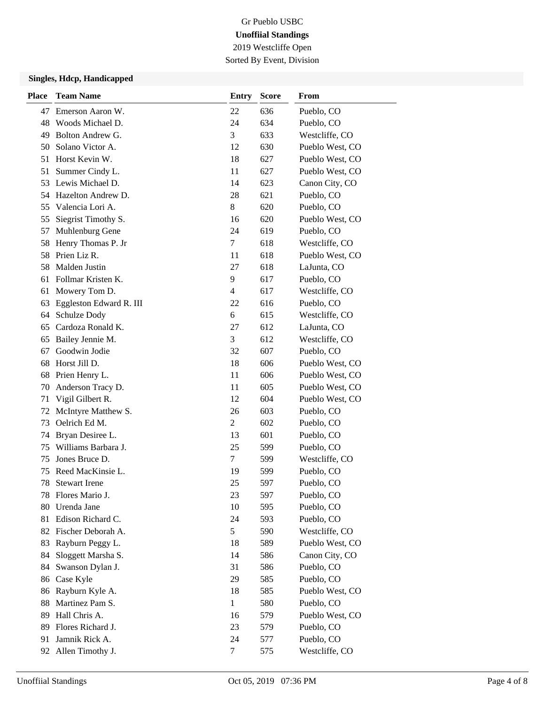Sorted By Event, Division

### **Singles, Hdcp, Handicapped**

| <b>Place</b> | <b>Team Name</b>        | Entry          | <b>Score</b> | From            |
|--------------|-------------------------|----------------|--------------|-----------------|
| 47           | Emerson Aaron W.        | 22             | 636          | Pueblo, CO      |
| 48           | Woods Michael D.        | 24             | 634          | Pueblo, CO      |
| 49           | Bolton Andrew G.        | 3              | 633          | Westcliffe, CO  |
| 50           | Solano Victor A.        | 12             | 630          | Pueblo West, CO |
| 51           | Horst Kevin W.          | 18             | 627          | Pueblo West, CO |
| 51           | Summer Cindy L.         | 11             | 627          | Pueblo West, CO |
| 53           | Lewis Michael D.        | 14             | 623          | Canon City, CO  |
|              | 54 Hazelton Andrew D.   | 28             | 621          | Pueblo, CO      |
| 55           | Valencia Lori A.        | 8              | 620          | Pueblo, CO      |
| 55           | Siegrist Timothy S.     | 16             | 620          | Pueblo West, CO |
| 57           | Muhlenburg Gene         | 24             | 619          | Pueblo, CO      |
| 58           | Henry Thomas P. Jr      | 7              | 618          | Westcliffe, CO  |
| 58           | Prien Liz R.            | 11             | 618          | Pueblo West, CO |
| 58           | Malden Justin           | 27             | 618          | LaJunta, CO     |
| 61           | Follmar Kristen K.      | 9              | 617          | Pueblo, CO      |
| 61           | Mowery Tom D.           | $\overline{4}$ | 617          | Westcliffe, CO  |
| 63           | Eggleston Edward R. III | 22             | 616          | Pueblo, CO      |
| 64           | Schulze Dody            | 6              | 615          | Westcliffe, CO  |
| 65           | Cardoza Ronald K.       | 27             | 612          | LaJunta, CO     |
| 65           | Bailey Jennie M.        | 3              | 612          | Westcliffe, CO  |
| 67           | Goodwin Jodie           | 32             | 607          | Pueblo, CO      |
| 68           | Horst Jill D.           | 18             | 606          | Pueblo West, CO |
| 68           | Prien Henry L.          | 11             | 606          | Pueblo West, CO |
| 70           | Anderson Tracy D.       | 11             | 605          | Pueblo West, CO |
| 71           | Vigil Gilbert R.        | 12             | 604          | Pueblo West, CO |
| 72           | McIntyre Matthew S.     | 26             | 603          | Pueblo, CO      |
| 73           | Oelrich Ed M.           | $\overline{2}$ | 602          | Pueblo, CO      |
| 74           | Bryan Desiree L.        | 13             | 601          | Pueblo, CO      |
| 75           | Williams Barbara J.     | 25             | 599          | Pueblo, CO      |
| 75           | Jones Bruce D.          | 7              | 599          | Westcliffe, CO  |
| 75           | Reed MacKinsie L.       | 19             | 599          | Pueblo, CO      |
| 78           | <b>Stewart Irene</b>    | 25             | 597          | Pueblo, CO      |
|              | 78 Flores Mario J.      | 23             | 597          | Pueblo, CO      |
| 80           | Urenda Jane             | 10             | 595          | Pueblo, CO      |
| 81           | Edison Richard C.       | 24             | 593          | Pueblo, CO      |
| 82           | Fischer Deborah A.      | 5              | 590          | Westcliffe, CO  |
| 83           | Rayburn Peggy L.        | 18             | 589          | Pueblo West, CO |
| 84           | Sloggett Marsha S.      | 14             | 586          | Canon City, CO  |
| 84           | Swanson Dylan J.        | 31             | 586          | Pueblo, CO      |
| 86           | Case Kyle               | 29             | 585          | Pueblo, CO      |
| 86           | Rayburn Kyle A.         | 18             | 585          | Pueblo West, CO |
| 88           | Martinez Pam S.         | $\mathbf{1}$   | 580          | Pueblo, CO      |
| 89           | Hall Chris A.           | 16             | 579          | Pueblo West, CO |
| 89           | Flores Richard J.       | 23             | 579          | Pueblo, CO      |
| 91           | Jamnik Rick A.          | 24             | 577          | Pueblo, CO      |
| 92           | Allen Timothy J.        | $\tau$         | 575          | Westcliffe, CO  |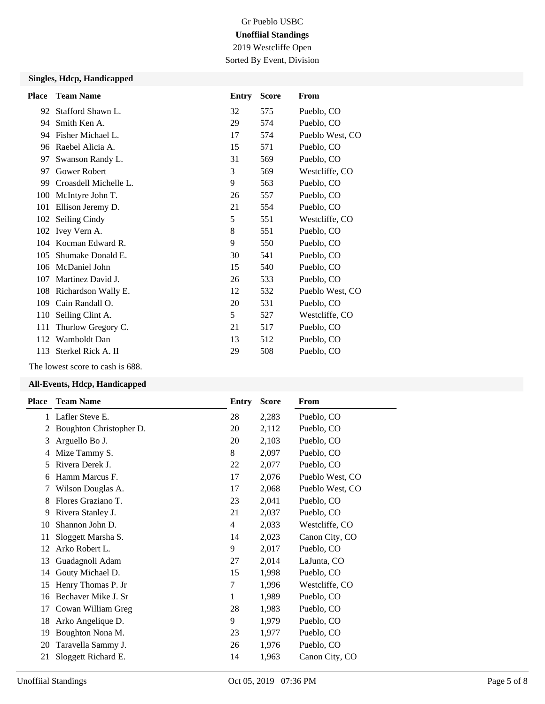Sorted By Event, Division

### **Singles, Hdcp, Handicapped**

| <b>Place</b> | <b>Team Name</b>      | Entry | <b>Score</b> | From            |
|--------------|-----------------------|-------|--------------|-----------------|
| 92           | Stafford Shawn L.     | 32    | 575          | Pueblo, CO      |
| 94           | Smith Ken A.          | 29    | 574          | Pueblo, CO      |
| 94           | Fisher Michael L.     | 17    | 574          | Pueblo West, CO |
| 96           | Raebel Alicia A.      | 15    | 571          | Pueblo, CO      |
| 97           | Swanson Randy L.      | 31    | 569          | Pueblo, CO      |
| 97           | Gower Robert          | 3     | 569          | Westcliffe, CO  |
| 99           | Croasdell Michelle L. | 9     | 563          | Pueblo, CO      |
| 100          | McIntyre John T.      | 26    | 557          | Pueblo, CO      |
| 101          | Ellison Jeremy D.     | 21    | 554          | Pueblo, CO      |
| 102          | Seiling Cindy         | 5     | 551          | Westcliffe, CO  |
|              | 102 Ivey Vern A.      | 8     | 551          | Pueblo, CO      |
| 104          | Kocman Edward R.      | 9     | 550          | Pueblo, CO      |
| 105          | Shumake Donald E.     | 30    | 541          | Pueblo, CO      |
|              | 106 McDaniel John     | 15    | 540          | Pueblo, CO      |
| 107          | Martinez David J.     | 26    | 533          | Pueblo, CO      |
| 108          | Richardson Wally E.   | 12    | 532          | Pueblo West, CO |
| 109          | Cain Randall O.       | 20    | 531          | Pueblo, CO      |
| 110          | Seiling Clint A.      | 5     | 527          | Westcliffe, CO  |
| 111          | Thurlow Gregory C.    | 21    | 517          | Pueblo, CO      |
| 112          | Wamboldt Dan          | 13    | 512          | Pueblo, CO      |
| 113          | Sterkel Rick A. II    | 29    | 508          | Pueblo, CO      |
|              |                       |       |              |                 |

The lowest score to cash is 688.

## **All-Events, Hdcp, Handicapped**

| Place | <b>Team Name</b>        | <b>Entry</b>   | <b>Score</b> | From            |
|-------|-------------------------|----------------|--------------|-----------------|
| 1     | Lafler Steve E.         | 28             | 2,283        | Pueblo, CO      |
| 2     | Boughton Christopher D. | 20             | 2,112        | Pueblo, CO      |
| 3     | Arguello Bo J.          | 20             | 2,103        | Pueblo, CO      |
| 4     | Mize Tammy S.           | 8              | 2,097        | Pueblo, CO      |
| 5     | Rivera Derek J.         | 22             | 2,077        | Pueblo, CO      |
| 6     | Hamm Marcus F.          | 17             | 2,076        | Pueblo West, CO |
| 7     | Wilson Douglas A.       | 17             | 2,068        | Pueblo West, CO |
| 8     | Flores Graziano T.      | 23             | 2,041        | Pueblo, CO      |
| 9     | Rivera Stanley J.       | 21             | 2,037        | Pueblo, CO      |
| 10    | Shannon John D.         | $\overline{4}$ | 2,033        | Westcliffe, CO  |
| 11    | Sloggett Marsha S.      | 14             | 2,023        | Canon City, CO  |
| 12    | Arko Robert L.          | 9              | 2,017        | Pueblo, CO      |
| 13    | Guadagnoli Adam         | 27             | 2,014        | LaJunta, CO     |
| 14    | Gouty Michael D.        | 15             | 1,998        | Pueblo, CO      |
| 15    | Henry Thomas P. Jr      | 7              | 1,996        | Westcliffe, CO  |
| 16    | Bechaver Mike J. Sr     | 1              | 1,989        | Pueblo, CO      |
| 17    | Cowan William Greg      | 28             | 1,983        | Pueblo, CO      |
| 18    | Arko Angelique D.       | 9              | 1,979        | Pueblo, CO      |
| 19    | Boughton Nona M.        | 23             | 1,977        | Pueblo, CO      |
| 20    | Taravella Sammy J.      | 26             | 1,976        | Pueblo, CO      |
| 21    | Sloggett Richard E.     | 14             | 1,963        | Canon City, CO  |
|       |                         |                |              |                 |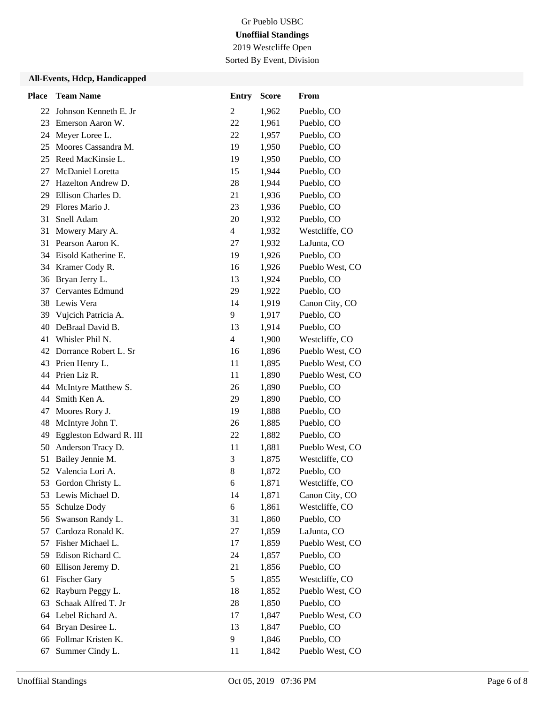Sorted By Event, Division

### **All-Events, Hdcp, Handicapped**

| <b>Place</b> | <b>Team Name</b>         | <b>Entry</b>   | <b>Score</b> | From            |
|--------------|--------------------------|----------------|--------------|-----------------|
|              | 22 Johnson Kenneth E. Jr | 2              | 1,962        | Pueblo, CO      |
| 23           | Emerson Aaron W.         | 22             | 1,961        | Pueblo, CO      |
| 24           | Meyer Loree L.           | 22             | 1,957        | Pueblo, CO      |
| 25           | Moores Cassandra M.      | 19             | 1,950        | Pueblo, CO      |
| 25           | Reed MacKinsie L.        | 19             | 1,950        | Pueblo, CO      |
| 27           | McDaniel Loretta         | 15             | 1,944        | Pueblo, CO      |
| 27           | Hazelton Andrew D.       | 28             | 1,944        | Pueblo, CO      |
| 29           | Ellison Charles D.       | 21             | 1,936        | Pueblo, CO      |
| 29           | Flores Mario J.          | 23             | 1,936        | Pueblo, CO      |
| 31           | Snell Adam               | 20             | 1,932        | Pueblo, CO      |
| 31           | Mowery Mary A.           | $\overline{4}$ | 1,932        | Westcliffe, CO  |
| 31           | Pearson Aaron K.         | 27             | 1,932        | LaJunta, CO     |
|              | 34 Eisold Katherine E.   | 19             | 1,926        | Pueblo, CO      |
| 34           | Kramer Cody R.           | 16             | 1,926        | Pueblo West, CO |
| 36           | Bryan Jerry L.           | 13             | 1,924        | Pueblo, CO      |
| 37           | <b>Cervantes Edmund</b>  | 29             | 1,922        | Pueblo, CO      |
|              | 38 Lewis Vera            | 14             | 1,919        | Canon City, CO  |
| 39           | Vujcich Patricia A.      | 9              | 1,917        | Pueblo, CO      |
| 40           | DeBraal David B.         | 13             | 1,914        | Pueblo, CO      |
| 41           | Whisler Phil N.          | $\overline{4}$ | 1,900        | Westcliffe, CO  |
|              | 42 Dorrance Robert L. Sr | 16             | 1,896        | Pueblo West, CO |
| 43           | Prien Henry L.           | 11             | 1,895        | Pueblo West, CO |
|              | 44 Prien Liz R.          | 11             | 1,890        | Pueblo West, CO |
| 44           | McIntyre Matthew S.      | 26             | 1,890        | Pueblo, CO      |
| 44           | Smith Ken A.             | 29             | 1,890        | Pueblo, CO      |
| 47           | Moores Rory J.           | 19             | 1,888        | Pueblo, CO      |
| 48           | McIntyre John T.         | 26             | 1,885        | Pueblo, CO      |
| 49           | Eggleston Edward R. III  | 22             | 1,882        | Pueblo, CO      |
| 50           | Anderson Tracy D.        | 11             | 1,881        | Pueblo West, CO |
| 51           | Bailey Jennie M.         | 3              | 1,875        | Westcliffe, CO  |
| 52           | Valencia Lori A.         | $8\phantom{1}$ | 1,872        | Pueblo, CO      |
| 53           | Gordon Christy L.        | 6              | 1,871        | Westcliffe, CO  |
| 53           | Lewis Michael D.         | 14             | 1,871        | Canon City, CO  |
| 55           | Schulze Dody             | 6              | 1,861        | Westcliffe, CO  |
| 56           | Swanson Randy L.         | 31             | 1,860        | Pueblo, CO      |
| 57           | Cardoza Ronald K.        | $27\,$         | 1,859        | LaJunta, CO     |
|              | 57 Fisher Michael L.     | 17             | 1,859        | Pueblo West, CO |
| 59           | Edison Richard C.        | 24             | 1,857        | Pueblo, CO      |
| 60           | Ellison Jeremy D.        | 21             | 1,856        | Pueblo, CO      |
| 61           | <b>Fischer Gary</b>      | 5              | 1,855        | Westcliffe, CO  |
| 62           | Rayburn Peggy L.         | 18             | 1,852        | Pueblo West, CO |
| 63           | Schaak Alfred T. Jr      | 28             | 1,850        | Pueblo, CO      |
| 64           | Lebel Richard A.         | 17             | 1,847        | Pueblo West, CO |
| 64           | Bryan Desiree L.         | 13             | 1,847        | Pueblo, CO      |
| 66           | Follmar Kristen K.       | 9              | 1,846        | Pueblo, CO      |
| 67           | Summer Cindy L.          | 11             | 1,842        | Pueblo West, CO |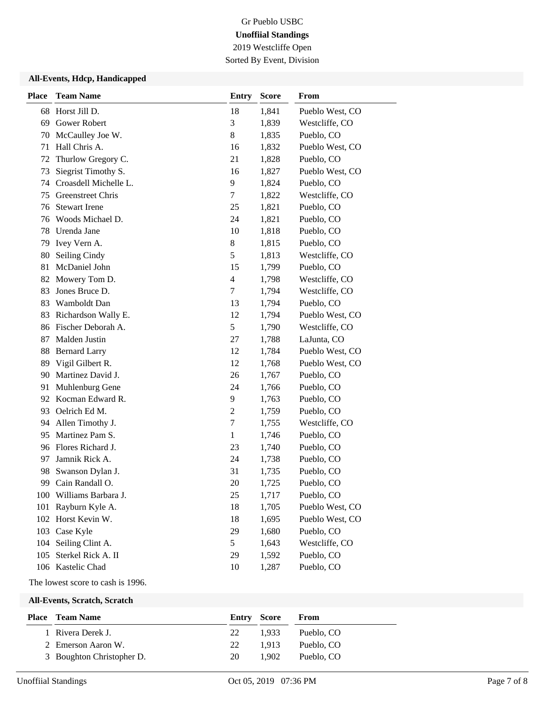2019 Westcliffe Open

Sorted By Event, Division

### **All-Events, Hdcp, Handicapped**

| <b>Place</b> | <b>Team Name</b>        | <b>Entry</b>   | <b>Score</b> | From            |
|--------------|-------------------------|----------------|--------------|-----------------|
| 68           | Horst Jill D.           | 18             | 1,841        | Pueblo West, CO |
| 69           | Gower Robert            | 3              | 1,839        | Westcliffe, CO  |
| 70           | McCaulley Joe W.        | 8              | 1,835        | Pueblo, CO      |
| 71           | Hall Chris A.           | 16             | 1,832        | Pueblo West, CO |
| 72           | Thurlow Gregory C.      | 21             | 1,828        | Pueblo, CO      |
| 73           | Siegrist Timothy S.     | 16             | 1,827        | Pueblo West, CO |
| 74           | Croasdell Michelle L.   | 9              | 1,824        | Pueblo, CO      |
| 75           | Greenstreet Chris       | 7              | 1,822        | Westcliffe, CO  |
| 76           | <b>Stewart Irene</b>    | 25             | 1,821        | Pueblo, CO      |
| 76           | Woods Michael D.        | 24             | 1,821        | Pueblo, CO      |
| 78           | Urenda Jane             | 10             | 1,818        | Pueblo, CO      |
| 79           | Ivey Vern A.            | $8\,$          | 1,815        | Pueblo, CO      |
| 80           | Seiling Cindy           | 5              | 1,813        | Westcliffe, CO  |
| 81           | McDaniel John           | 15             | 1,799        | Pueblo, CO      |
| 82           | Mowery Tom D.           | 4              | 1,798        | Westcliffe, CO  |
| 83           | Jones Bruce D.          | 7              | 1,794        | Westcliffe, CO  |
| 83           | Wamboldt Dan            | 13             | 1,794        | Pueblo, CO      |
| 83           | Richardson Wally E.     | 12             | 1,794        | Pueblo West, CO |
| 86           | Fischer Deborah A.      | 5              | 1,790        | Westcliffe, CO  |
| 87           | Malden Justin           | 27             | 1,788        | LaJunta, CO     |
| 88           | <b>Bernard Larry</b>    | 12             | 1,784        | Pueblo West, CO |
| 89           | Vigil Gilbert R.        | 12             | 1,768        | Pueblo West, CO |
| 90           | Martinez David J.       | 26             | 1,767        | Pueblo, CO      |
| 91           | Muhlenburg Gene         | 24             | 1,766        | Pueblo, CO      |
| 92           | Kocman Edward R.        | 9              | 1,763        | Pueblo, CO      |
| 93           | Oelrich Ed M.           | $\overline{c}$ | 1,759        | Pueblo, CO      |
| 94           | Allen Timothy J.        | 7              | 1,755        | Westcliffe, CO  |
| 95           | Martinez Pam S.         | 1              | 1,746        | Pueblo, CO      |
| 96           | Flores Richard J.       | 23             | 1,740        | Pueblo, CO      |
| 97           | Jamnik Rick A.          | 24             | 1,738        | Pueblo, CO      |
| 98           | Swanson Dylan J.        | 31             | 1,735        | Pueblo, CO      |
| 99           | Cain Randall O.         | 20             | 1,725        | Pueblo, CO      |
|              | 100 Williams Barbara J. | 25             | 1,717        | Pueblo, CO      |
| 101          | Rayburn Kyle A.         | 18             | 1,705        | Pueblo West, CO |
| 102          | Horst Kevin W.          | 18             | 1,695        | Pueblo West, CO |
|              | 103 Case Kyle           | 29             | 1,680        | Pueblo, CO      |
| 104          | Seiling Clint A.        | 5              | 1,643        | Westcliffe, CO  |
| 105          | Sterkel Rick A. II      | 29             | 1,592        | Pueblo, CO      |
|              | 106 Kastelic Chad       | 10             | 1,287        | Pueblo, CO      |

The lowest score to cash is 1996.

**All-Events, Scratch, Scratch**

| Place | Team Name                 | <b>Entry Score</b> |       | From       |
|-------|---------------------------|--------------------|-------|------------|
|       | 1 Rivera Derek J.         | 22                 | 1.933 | Pueblo, CO |
|       | 2 Emerson Aaron W.        | 22                 | 1.913 | Pueblo, CO |
|       | 3 Boughton Christopher D. | 20                 | 1.902 | Pueblo, CO |
|       |                           |                    |       |            |